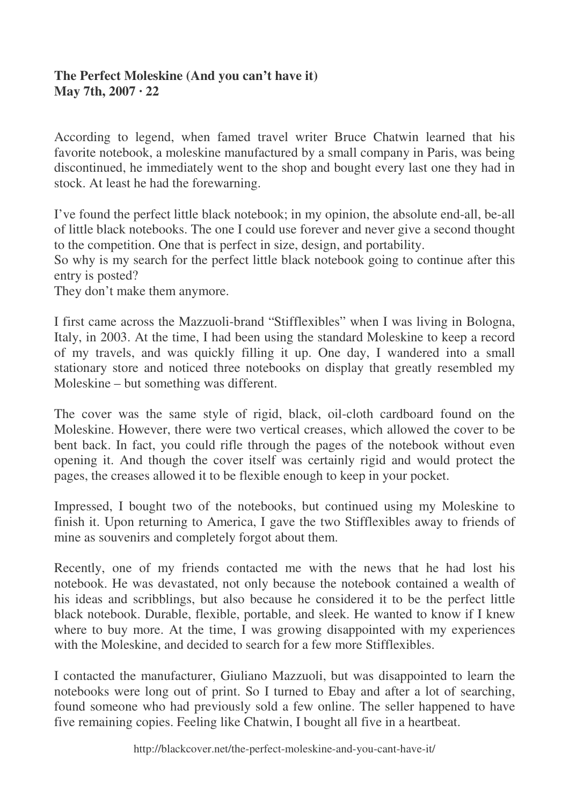## **The Perfect Moleskine (And you can't have it) May 7th, 2007 · 22**

According to legend, when famed travel writer Bruce Chatwin learned that his favorite notebook, a moleskine manufactured by a small company in Paris, was being discontinued, he immediately went to the shop and bought every last one they had in stock. At least he had the forewarning.

I've found the perfect little black notebook; in my opinion, the absolute end-all, be-all of little black notebooks. The one I could use forever and never give a second thought to the competition. One that is perfect in size, design, and portability.

So why is my search for the perfect little black notebook going to continue after this entry is posted?

They don't make them anymore.

I first came across the Mazzuoli-brand "Stifflexibles" when I was living in Bologna, Italy, in 2003. At the time, I had been using the standard Moleskine to keep a record of my travels, and was quickly filling it up. One day, I wandered into a small stationary store and noticed three notebooks on display that greatly resembled my Moleskine – but something was different.

The cover was the same style of rigid, black, oil-cloth cardboard found on the Moleskine. However, there were two vertical creases, which allowed the cover to be bent back. In fact, you could rifle through the pages of the notebook without even opening it. And though the cover itself was certainly rigid and would protect the pages, the creases allowed it to be flexible enough to keep in your pocket.

Impressed, I bought two of the notebooks, but continued using my Moleskine to finish it. Upon returning to America, I gave the two Stifflexibles away to friends of mine as souvenirs and completely forgot about them.

Recently, one of my friends contacted me with the news that he had lost his notebook. He was devastated, not only because the notebook contained a wealth of his ideas and scribblings, but also because he considered it to be the perfect little black notebook. Durable, flexible, portable, and sleek. He wanted to know if I knew where to buy more. At the time, I was growing disappointed with my experiences with the Moleskine, and decided to search for a few more Stifflexibles.

I contacted the manufacturer, Giuliano Mazzuoli, but was disappointed to learn the notebooks were long out of print. So I turned to Ebay and after a lot of searching, found someone who had previously sold a few online. The seller happened to have five remaining copies. Feeling like Chatwin, I bought all five in a heartbeat.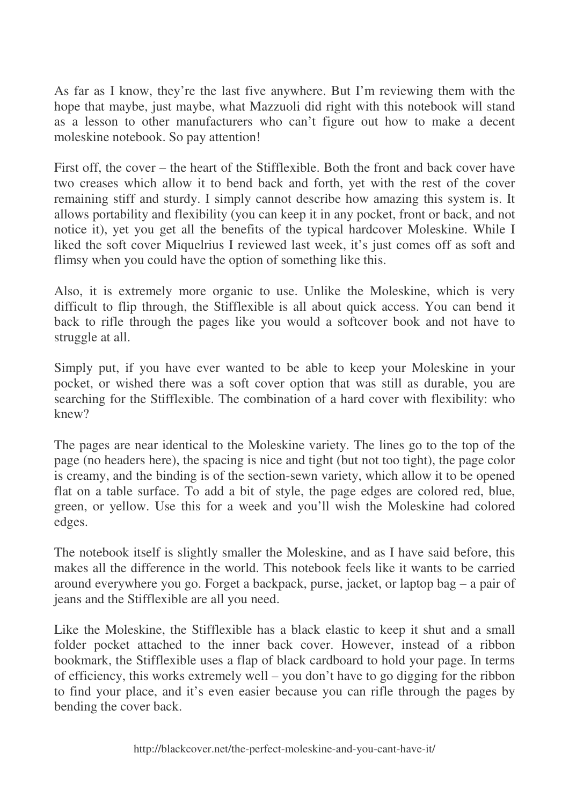As far as I know, they're the last five anywhere. But I'm reviewing them with the hope that maybe, just maybe, what Mazzuoli did right with this notebook will stand as a lesson to other manufacturers who can't figure out how to make a decent moleskine notebook. So pay attention!

First off, the cover – the heart of the Stifflexible. Both the front and back cover have two creases which allow it to bend back and forth, yet with the rest of the cover remaining stiff and sturdy. I simply cannot describe how amazing this system is. It allows portability and flexibility (you can keep it in any pocket, front or back, and not notice it), yet you get all the benefits of the typical hardcover Moleskine. While I liked the soft cover Miquelrius I reviewed last week, it's just comes off as soft and flimsy when you could have the option of something like this.

Also, it is extremely more organic to use. Unlike the Moleskine, which is very difficult to flip through, the Stifflexible is all about quick access. You can bend it back to rifle through the pages like you would a softcover book and not have to struggle at all.

Simply put, if you have ever wanted to be able to keep your Moleskine in your pocket, or wished there was a soft cover option that was still as durable, you are searching for the Stifflexible. The combination of a hard cover with flexibility: who knew?

The pages are near identical to the Moleskine variety. The lines go to the top of the page (no headers here), the spacing is nice and tight (but not too tight), the page color is creamy, and the binding is of the section-sewn variety, which allow it to be opened flat on a table surface. To add a bit of style, the page edges are colored red, blue, green, or yellow. Use this for a week and you'll wish the Moleskine had colored edges.

The notebook itself is slightly smaller the Moleskine, and as I have said before, this makes all the difference in the world. This notebook feels like it wants to be carried around everywhere you go. Forget a backpack, purse, jacket, or laptop bag – a pair of jeans and the Stifflexible are all you need.

Like the Moleskine, the Stifflexible has a black elastic to keep it shut and a small folder pocket attached to the inner back cover. However, instead of a ribbon bookmark, the Stifflexible uses a flap of black cardboard to hold your page. In terms of efficiency, this works extremely well – you don't have to go digging for the ribbon to find your place, and it's even easier because you can rifle through the pages by bending the cover back.